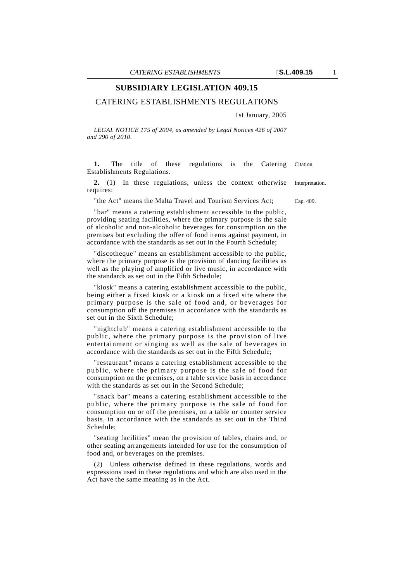### **SUBSIDIARY LEGISLATION 409.15**

#### CATERING ESTABLISHMENTS REGULATIONS

1st January, 2005

*LEGAL NOTICE 175 of 2004, as amended by Legal Notices 426 of 2007 and 290 of 2010.*

1. The title of these regulations is the Catering Citation. Establishments Regulations.

**2.** (1) In these regulations, unless the context otherwise Interpretation. requires:

"the Act" means the Malta Travel and Tourism Services Act; Cap. 409.

"bar" means a catering establishment accessible to the public, providing seating facilities, where the primary purpose is the sale of alcoholic and non-alcoholic beverages for consumption on the premises but excluding the offer of food items against payment, in accordance with the standards as set out in the Fourth Schedule;

"discotheque" means an establishment accessible to the public, where the primary purpose is the provision of dancing facilities as well as the playing of amplified or live music, in accordance with the standards as set out in the Fifth Schedule;

"kiosk" means a catering establishment accessible to the public, being either a fixed kiosk or a kiosk on a fixed site where the primary purpose is the sale of food and, or beverages for consumption off the premises in accordance with the standards as set out in the Sixth Schedule;

"nightclub" means a catering establishment accessible to the public, where the primary purpose is the provision of live entertainment or singing as well as the sale of beverages in accordance with the standards as set out in the Fifth Schedule;

"restaurant" means a catering establishment accessible to the public, where the primary purpose is the sale of food for consumption on the premises, on a table service basis in accordance with the standards as set out in the Second Schedule;

"snack bar" means a catering establishment accessible to the public, where the primary purpose is the sale of food for consumption on or off the premises, on a table or counter service basis, in accordance with the standards as set out in the Third Schedule;

"seating facilities" mean the provision of tables, chairs and, or other seating arrangements intended for use for the consumption of food and, or beverages on the premises.

(2) Unless otherwise defined in these regulations, words and expressions used in these regulations and which are also used in the Act have the same meaning as in the Act.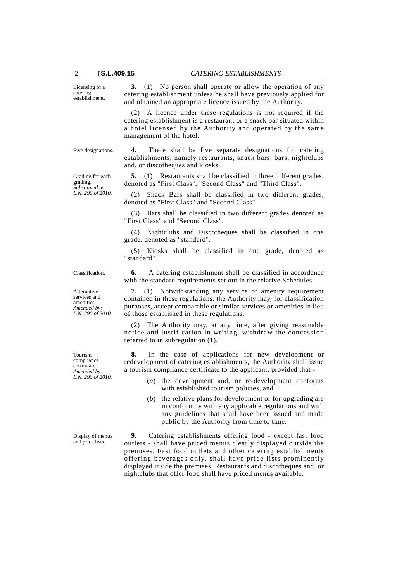Licensing of a catering establishment.

**3.** (1) No person shall operate or allow the operation of any catering establishment unless he shall have previously applied for and obtained an appropriate licence issued by the Authority.

(2) A licence under these regulations is not required if the catering establishment is a restaurant or a snack bar situated within a hotel licensed by the Authority and operated by the same management of the hotel.

establishments, namely restaurants, snack bars, bars, nightclubs

**5.** (1) Restaurants shall be classified in three different grades,

(2) Snack Bars shall be classified in two different grades,

denoted as "First Class", "Second Class" and "Third Class".

and, or discotheques and kiosks.

denoted as "First Class" and "Second Class".

Five designations. **4.** There shall be five separate designations for catering

Grading for each grading. *Substituted by: L.N. 290 of 2010.*

Alternative services and amenities. *Amended by: L.N. 290 of 2010.*

Tourism compliance certificate. *Amended by: L.N. 290 of 2010.*

Display of menus and price lists.

(3) Bars shall be classified in two different grades denoted as "First Class" and "Second Class".

(4) Nightclubs and Discotheques shall be classified in one grade, denoted as "standard".

(5) Kiosks shall be classified in one grade, denoted as "standard".

Classification. **6.** A catering establishment shall be classified in accordance with the standard requirements set out in the relative Schedules.

> **7.** (1) Notwithstanding any service or amenity requirement contained in these regulations, the Authority may, for classification purposes, accept comparable or similar services or amenities in lieu of those established in these regulations.

> (2) The Authority may, at any time, after giving reasonable notice and justification in writing, withdraw the concession referred to in subregulation (1).

> **8.** In the case of applications for new development or redevelopment of catering establishments, the Authority shall issue a tourism compliance certificate to the applicant, provided that -

- (*a*) the development and, or re-development conforms with established tourism policies, and
- (*b*) the relative plans for development or for upgrading are in conformity with any applicable regulations and with any guidelines that shall have been issued and made public by the Authority from time to time.

**9.** Catering establishments offering food - except fast food outlets - shall have priced menus clearly displayed outside the premises. Fast food outlets and other catering establishments offering beverages only, shall have price lists prominently displayed inside the premises. Restaurants and discotheques and, or nightclubs that offer food shall have priced menus available.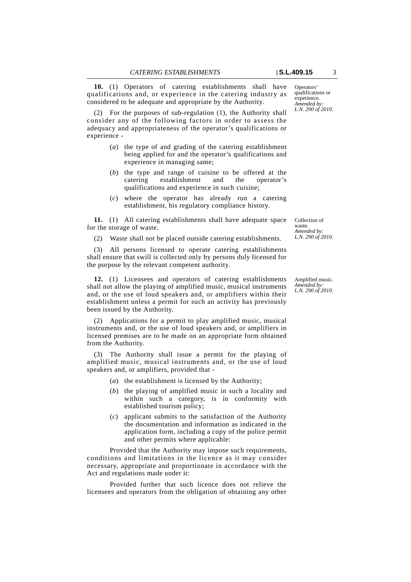**10.** (1) Operators of catering establishments shall have qualifications and, or experience in the catering industry as considered to be adequate and appropriate by the Authority.

(2) For the purposes of sub-regulation (1), the Authority shall consider any of the following factors in order to assess the adequacy and appropriateness of the operator's qualifications or experience -

- (*a*) the type of and grading of the catering establishment being applied for and the operator's qualifications and experience in managing same;
- (*b*) the type and range of cuisine to be offered at the catering establishment and the operator's qualifications and experience in such cuisine;
- (*c*) where the operator has already run a catering establishment, his regulatory compliance history.

**11.** (1) All catering establishments shall have adequate space for the storage of waste.

(2) Waste shall not be placed outside catering establishments.

(3) All persons licensed to operate catering establishments shall ensure that swill is collected only by persons duly licensed for the purpose by the relevant competent authority.

**12.** (1) Licensees and operators of catering establishments shall not allow the playing of amplified music, musical instruments and, or the use of loud speakers and, or amplifiers within their establishment unless a permit for such an activity has previously been issued by the Authority.

(2) Applications for a permit to play amplified music, musical instruments and, or the use of loud speakers and, or amplifiers in licensed premises are to be made on an appropriate form obtained from the Authority.

(3) The Authority shall issue a permit for the playing of amplified music, musical instruments and, or the use of loud speakers and, or amplifiers, provided that -

- (*a*) the establishment is licensed by the Authority;
- (*b*) the playing of amplified music in such a locality and within such a category, is in conformity with established tourism policy;
- (*c*) applicant submits to the satisfaction of the Authority the documentation and information as indicated in the application form, including a copy of the police permit and other permits where applicable:

Provided that the Authority may impose such requirements, conditions and limitations in the licence as it may consider necessary, appropriate and proportionate in accordance with the Act and regulations made under it:

Provided further that such licence does not relieve the licensees and operators from the obligation of obtaining any other

Operators' qualifications or experience. *Amended by: L.N. 290 of 2010.*

Collection of waste. *Amended by: L.N. 290 of 2010.*

Amplified music. *Amended by: L.N. 290 of 2010.*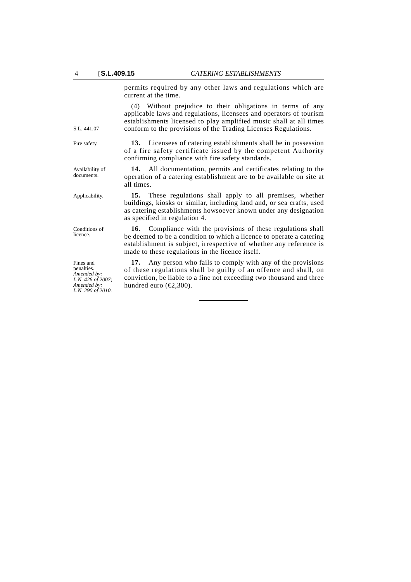permits required by any other laws and regulations which are current at the time.

(4) Without prejudice to their obligations in terms of any applicable laws and regulations, licensees and operators of tourism establishments licensed to play amplified music shall at all times conform to the provisions of the Trading Licenses Regulations.

Fire safety. **13.** Licensees of catering establishments shall be in possession of a fire safety certificate issued by the competent Authority confirming compliance with fire safety standards.

> **14.** All documentation, permits and certificates relating to the operation of a catering establishment are to be available on site at all times.

Applicability. **15.** These regulations shall apply to all premises, whether buildings, kiosks or similar, including land and, or sea crafts, used as catering establishments howsoever known under any designation as specified in regulation 4.

> **16.** Compliance with the provisions of these regulations shall be deemed to be a condition to which a licence to operate a catering establishment is subject, irrespective of whether any reference is made to these regulations in the licence itself.

> **17.** Any person who fails to comply with any of the provisions of these regulations shall be guilty of an offence and shall, on conviction, be liable to a fine not exceeding two thousand and three hundred euro ( $\epsilon$ 2,300).

Availability of documents.

S.L. 441.07

Conditions of licence.

Fines and penalties. *Amended by: L.N. 426 of 2007; Amended by: L.N. 290 of 2010.*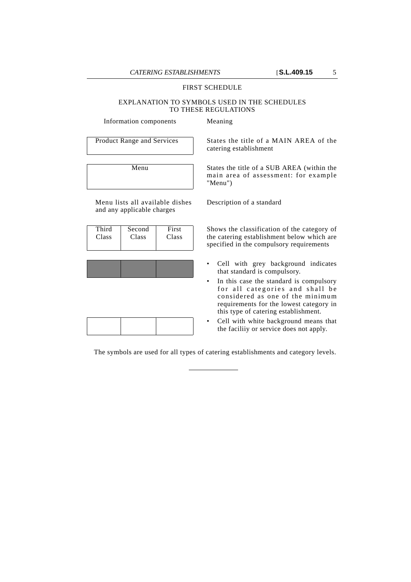#### FIRST SCHEDULE

#### EXPLANATION TO SYMBOLS USED IN THE SCHEDULES TO THESE REGULATIONS

Information components Meaning

Menu lists all available dishes and any applicable charges

| Third | Second | First |
|-------|--------|-------|
| Class | Class  | Class |

Product Range and Services States the title of a MAIN AREA of the catering establishment

> Menu States the title of a SUB AREA (within the main area of assessment: for example "Menu")

> > Description of a standard

Shows the classification of the category of the catering establishment below which are specified in the compulsory requirements

- Cell with grey background indicates that standard is compulsory.
- In this case the standard is compulsory for all categories and shall be considered as one of the minimum requirements for the lowest category in this type of catering establishment.
- Cell with white background means that the faciliiy or service does not apply.

The symbols are used for all types of catering establishments and category levels.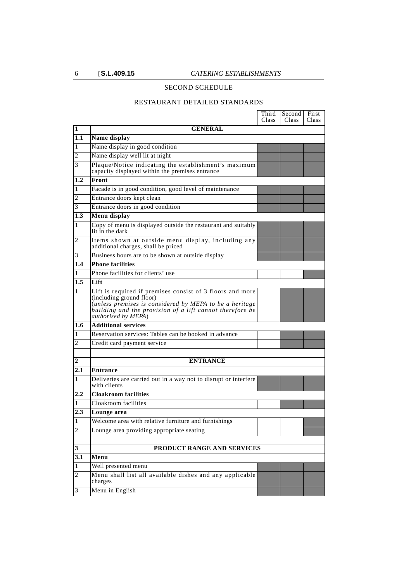### SECOND SCHEDULE

#### RESTAURANT DETAILED STANDARDS

|                |                                                                                                                                                                                                                                     | Third<br><b>Class</b> | Second<br>Class | First<br>Class |
|----------------|-------------------------------------------------------------------------------------------------------------------------------------------------------------------------------------------------------------------------------------|-----------------------|-----------------|----------------|
| 1              | <b>GENERAL</b>                                                                                                                                                                                                                      |                       |                 |                |
| 1.1            | Name display                                                                                                                                                                                                                        |                       |                 |                |
| 1              | Name display in good condition                                                                                                                                                                                                      |                       |                 |                |
| 2              | Name display well lit at night                                                                                                                                                                                                      |                       |                 |                |
| 3              | Plaque/Notice indicating the establishment's maximum<br>capacity displayed within the premises entrance                                                                                                                             |                       |                 |                |
| 1.2            | Front                                                                                                                                                                                                                               |                       |                 |                |
| 1              | Facade is in good condition, good level of maintenance                                                                                                                                                                              |                       |                 |                |
| 2              | Entrance doors kept clean                                                                                                                                                                                                           |                       |                 |                |
| 3              | Entrance doors in good condition                                                                                                                                                                                                    |                       |                 |                |
| 1.3            | Menu display                                                                                                                                                                                                                        |                       |                 |                |
| 1              | Copy of menu is displayed outside the restaurant and suitably<br>lit in the dark                                                                                                                                                    |                       |                 |                |
| 2              | Items shown at outside menu display, including any<br>additional charges, shall be priced                                                                                                                                           |                       |                 |                |
| 3              | Business hours are to be shown at outside display                                                                                                                                                                                   |                       |                 |                |
| 1.4            | <b>Phone facilities</b>                                                                                                                                                                                                             |                       |                 |                |
| 1              | Phone facilities for clients' use                                                                                                                                                                                                   |                       |                 |                |
| 1.5            | Lift                                                                                                                                                                                                                                |                       |                 |                |
| 1              | Lift is required if premises consist of 3 floors and more<br>(including ground floor)<br>(unless premises is considered by MEPA to be a heritage<br>building and the provision of a lift cannot therefore be<br>authorised by MEPA) |                       |                 |                |
| 1.6            | <b>Additional services</b>                                                                                                                                                                                                          |                       |                 |                |
| 1              | Reservation services: Tables can be booked in advance                                                                                                                                                                               |                       |                 |                |
| 2              | Credit card payment service                                                                                                                                                                                                         |                       |                 |                |
| 2              | <b>ENTRANCE</b>                                                                                                                                                                                                                     |                       |                 |                |
| 2.1            | <b>Entrance</b>                                                                                                                                                                                                                     |                       |                 |                |
| 1              | Deliveries are carried out in a way not to disrupt or interfere<br>with clients                                                                                                                                                     |                       |                 |                |
| 2.2            | <b>Cloakroom facilities</b>                                                                                                                                                                                                         |                       |                 |                |
| L              | Cloakroom facilities                                                                                                                                                                                                                |                       |                 |                |
| 2.3            | Lounge area                                                                                                                                                                                                                         |                       |                 |                |
| 1              | Welcome area with relative furniture and furnishings                                                                                                                                                                                |                       |                 |                |
| 2              | Lounge area providing appropriate seating                                                                                                                                                                                           |                       |                 |                |
|                |                                                                                                                                                                                                                                     |                       |                 |                |
| 3              | PRODUCT RANGE AND SERVICES                                                                                                                                                                                                          |                       |                 |                |
| 3.1            | Menu                                                                                                                                                                                                                                |                       |                 |                |
| $\mathbf{1}$   | Well presented menu                                                                                                                                                                                                                 |                       |                 |                |
| $\overline{c}$ | Menu shall list all available dishes and any applicable<br>charges                                                                                                                                                                  |                       |                 |                |
| 3              | Menu in English                                                                                                                                                                                                                     |                       |                 |                |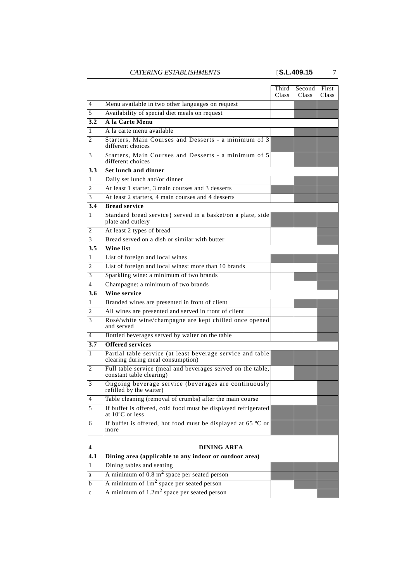|                  |                                                                                                 | Third<br>Class | Second  <br>Class | First<br>Class <sub>.</sub> |
|------------------|-------------------------------------------------------------------------------------------------|----------------|-------------------|-----------------------------|
| 4                | Menu available in two other languages on request                                                |                |                   |                             |
| 5                | Availability of special diet meals on request                                                   |                |                   |                             |
| $\overline{3.2}$ | A la Carte Menu                                                                                 |                |                   |                             |
| 1                | A la carte menu available                                                                       |                |                   |                             |
| 2                | Starters, Main Courses and Desserts - a minimum of 3<br>different choices                       |                |                   |                             |
| 3                | Starters, Main Courses and Desserts - a minimum of 5<br>different choices                       |                |                   |                             |
| 3.3              | <b>Set lunch and dinner</b>                                                                     |                |                   |                             |
| 1                | Daily set lunch and/or dinner                                                                   |                |                   |                             |
| 2                | At least 1 starter, 3 main courses and 3 desserts                                               |                |                   |                             |
| 3                | At least 2 starters, 4 main courses and 4 desserts                                              |                |                   |                             |
| 3.4              | <b>Bread service</b>                                                                            |                |                   |                             |
| 1                | Standard bread service{ served in a basket/on a plate, side<br>plate and cutlery                |                |                   |                             |
| 2                | At least 2 types of bread                                                                       |                |                   |                             |
| 3                | Bread served on a dish or similar with butter                                                   |                |                   |                             |
| 3.5              | <b>Wine list</b>                                                                                |                |                   |                             |
| 1                | List of foreign and local wines                                                                 |                |                   |                             |
| 2                | List of foreign and local wines: more than 10 brands                                            |                |                   |                             |
| 3                | Sparkling wine: a minimum of two brands                                                         |                |                   |                             |
| 4                | Champagne: a minimum of two brands                                                              |                |                   |                             |
| 3.6              | <b>Wine service</b>                                                                             |                |                   |                             |
| 1                | Branded wines are presented in front of client                                                  |                |                   |                             |
| 2                | All wines are presented and served in front of client                                           |                |                   |                             |
| 3                | Rosè/white wine/champagne are kept chilled once opened<br>and served                            |                |                   |                             |
| 4                | Bottled beverages served by waiter on the table                                                 |                |                   |                             |
| 3.7              | <b>Offered services</b>                                                                         |                |                   |                             |
| 1                | Partial table service (at least beverage service and table<br>clearing during meal consumption) |                |                   |                             |
| 2                | Full table service (meal and beverages served on the table,<br>constant table clearing)         |                |                   |                             |
| 3                | Ongoing beverage service (beverages are continuously<br>refilled by the waiter)                 |                |                   |                             |
| $\overline{4}$   | Table cleaning (removal of crumbs) after the main course                                        |                |                   |                             |
| 5                | If buffet is offered, cold food must be displayed refrigerated<br>at 10°C or less               |                |                   |                             |
| 6                | If buffet is offered, hot food must be displayed at 65 °C or<br>more                            |                |                   |                             |
|                  |                                                                                                 |                |                   |                             |
| 4                | <b>DINING AREA</b>                                                                              |                |                   |                             |
| $\overline{4.1}$ | Dining area (applicable to any indoor or outdoor area)                                          |                |                   |                             |
| 1                | Dining tables and seating                                                                       |                |                   |                             |
| a                | A minimum of $0.8 \text{ m}^2$ space per seated person                                          |                |                   |                             |
| b                | A minimum of $1m2$ space per seated person                                                      |                |                   |                             |
| $\mathbf c$      | A minimum of $1.2m2$ space per seated person                                                    |                |                   |                             |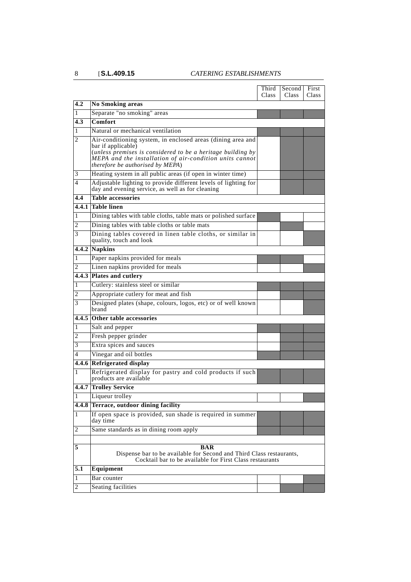|                         |                                                                                                                                                                                                                                                 | Third<br><b>Class</b> | Second<br><b>Class</b> | First<br><b>Class</b> |
|-------------------------|-------------------------------------------------------------------------------------------------------------------------------------------------------------------------------------------------------------------------------------------------|-----------------------|------------------------|-----------------------|
| 4.2                     | <b>No Smoking areas</b>                                                                                                                                                                                                                         |                       |                        |                       |
| 1                       | Separate "no smoking" areas                                                                                                                                                                                                                     |                       |                        |                       |
| 4.3                     | Comfort                                                                                                                                                                                                                                         |                       |                        |                       |
| 1                       | Natural or mechanical ventilation                                                                                                                                                                                                               |                       |                        |                       |
| 2                       | Air-conditioning system, in enclosed areas (dining area and<br>bar if applicable)<br>(unless premises is considered to be a heritage building by<br>MEPA and the installation of air-condition units cannot<br>therefore be authorised by MEPA) |                       |                        |                       |
| 3                       | Heating system in all public areas (if open in winter time)                                                                                                                                                                                     |                       |                        |                       |
| 4                       | Adjustable lighting to provide different levels of lighting for<br>day and evening service, as well as for cleaning                                                                                                                             |                       |                        |                       |
| 4.4                     | <b>Table accessories</b>                                                                                                                                                                                                                        |                       |                        |                       |
|                         | 4.4.1  Table linen                                                                                                                                                                                                                              |                       |                        |                       |
| 1                       | Dining tables with table cloths, table mats or polished surface                                                                                                                                                                                 |                       |                        |                       |
| 2                       | Dining tables with table cloths or table mats                                                                                                                                                                                                   |                       |                        |                       |
| 3                       | Dining tables covered in linen table cloths, or similar in<br>quality, touch and look                                                                                                                                                           |                       |                        |                       |
|                         | $4.4.2$ Napkins                                                                                                                                                                                                                                 |                       |                        |                       |
| 1                       | Paper napkins provided for meals                                                                                                                                                                                                                |                       |                        |                       |
| 2                       | Linen napkins provided for meals                                                                                                                                                                                                                |                       |                        |                       |
|                         | 4.4.3 Plates and cutlery                                                                                                                                                                                                                        |                       |                        |                       |
| 1                       | Cutlery: stainless steel or similar                                                                                                                                                                                                             |                       |                        |                       |
| 2                       | Appropriate cutlery for meat and fish                                                                                                                                                                                                           |                       |                        |                       |
| 3                       | Designed plates (shape, colours, logos, etc) or of well known<br>brand                                                                                                                                                                          |                       |                        |                       |
|                         | 4.4.5 Other table accessories                                                                                                                                                                                                                   |                       |                        |                       |
| 1                       | Salt and pepper                                                                                                                                                                                                                                 |                       |                        |                       |
| 2                       | Fresh pepper grinder                                                                                                                                                                                                                            |                       |                        |                       |
| 3                       | Extra spices and sauces                                                                                                                                                                                                                         |                       |                        |                       |
| 4                       | Vinegar and oil bottles                                                                                                                                                                                                                         |                       |                        |                       |
|                         | 4.4.6 Refrigerated display                                                                                                                                                                                                                      |                       |                        |                       |
| 1                       | Refrigerated display for pastry and cold products if such<br>products are available                                                                                                                                                             |                       |                        |                       |
|                         | <b>4.4.7 Trolley Service</b>                                                                                                                                                                                                                    |                       |                        |                       |
| 1                       | Liqueur trolley                                                                                                                                                                                                                                 |                       |                        |                       |
|                         | 4.4.8 Terrace, outdoor dining facility                                                                                                                                                                                                          |                       |                        |                       |
| 1                       | If open space is provided, sun shade is required in summer<br>day time                                                                                                                                                                          |                       |                        |                       |
| 2                       | Same standards as in dining room apply                                                                                                                                                                                                          |                       |                        |                       |
|                         |                                                                                                                                                                                                                                                 |                       |                        |                       |
| 5                       | <b>BAR</b><br>Dispense bar to be available for Second and Third Class restaurants,<br>Cocktail bar to be available for First Class restaurants                                                                                                  |                       |                        |                       |
| 5.1                     | Equipment                                                                                                                                                                                                                                       |                       |                        |                       |
| 1                       | Bar counter                                                                                                                                                                                                                                     |                       |                        |                       |
| $\overline{\mathbf{c}}$ | Seating facilities                                                                                                                                                                                                                              |                       |                        |                       |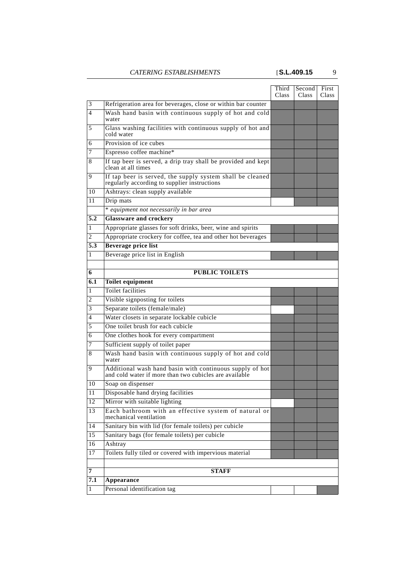|                |                                                                                                                    | Third<br>Class | Second<br>Class | First<br><b>Class</b> |
|----------------|--------------------------------------------------------------------------------------------------------------------|----------------|-----------------|-----------------------|
| $\mathfrak{Z}$ | Refrigeration area for beverages, close or within bar counter                                                      |                |                 |                       |
| 4              | Wash hand basin with continuous supply of hot and cold<br>water                                                    |                |                 |                       |
| 5              | Glass washing facilities with continuous supply of hot and<br>cold water                                           |                |                 |                       |
| 6              | Provision of ice cubes                                                                                             |                |                 |                       |
| 7              | Espresso coffee machine*                                                                                           |                |                 |                       |
| 8              | If tap beer is served, a drip tray shall be provided and kept<br>clean at all times                                |                |                 |                       |
| 9              | If tap beer is served, the supply system shall be cleaned<br>regularly according to supplier instructions          |                |                 |                       |
| 10             | Ashtrays: clean supply available                                                                                   |                |                 |                       |
| 11             | Drip mats                                                                                                          |                |                 |                       |
|                | * equipment not necessarily in bar area                                                                            |                |                 |                       |
| 5.2            | <b>Glassware and crockery</b>                                                                                      |                |                 |                       |
| 1              | Appropriate glasses for soft drinks, beer, wine and spirits                                                        |                |                 |                       |
| 2              | Appropriate crockery for coffee, tea and other hot beverages                                                       |                |                 |                       |
| 5.3            | <b>Beverage price list</b>                                                                                         |                |                 |                       |
| 1              | Beverage price list in English                                                                                     |                |                 |                       |
|                |                                                                                                                    |                |                 |                       |
| 6              | <b>PUBLIC TOILETS</b>                                                                                              |                |                 |                       |
| 6.1            | <b>Toilet equipment</b>                                                                                            |                |                 |                       |
| 1              | Toilet facilities                                                                                                  |                |                 |                       |
| $\overline{c}$ | Visible signposting for toilets                                                                                    |                |                 |                       |
| 3              | Separate toilets (female/male)                                                                                     |                |                 |                       |
| 4              | Water closets in separate lockable cubicle                                                                         |                |                 |                       |
| 5              | One toilet brush for each cubicle                                                                                  |                |                 |                       |
| 6              | One clothes hook for every compartment                                                                             |                |                 |                       |
| 7              | Sufficient supply of toilet paper                                                                                  |                |                 |                       |
| 8              | Wash hand basin with continuous supply of hot and cold<br>water                                                    |                |                 |                       |
| 9              | Additional wash hand basin with continuous supply of hot<br>and cold water if more than two cubicles are available |                |                 |                       |
| 10             | Soap on dispenser                                                                                                  |                |                 |                       |
| $11\,$         | Disposable hand drying facilities                                                                                  |                |                 |                       |
| 12             | Mirror with suitable lighting                                                                                      |                |                 |                       |
| 13             | Each bathroom with an effective system of natural or<br>mechanical ventilation                                     |                |                 |                       |
| 14             | Sanitary bin with lid (for female toilets) per cubicle                                                             |                |                 |                       |
| 15             | Sanitary bags (for female toilets) per cubicle                                                                     |                |                 |                       |
| 16             | Ashtray                                                                                                            |                |                 |                       |
| 17             | Toilets fully tiled or covered with impervious material                                                            |                |                 |                       |
| 7              | <b>STAFF</b>                                                                                                       |                |                 |                       |
| 7.1            | Appearance                                                                                                         |                |                 |                       |
| $\mathbf{1}$   | Personal identification tag                                                                                        |                |                 |                       |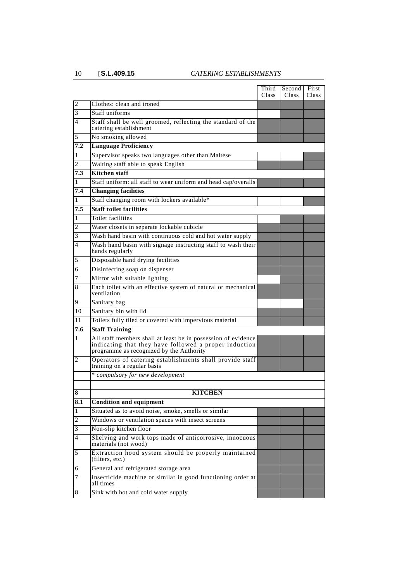|     |                                                                                                                                                                    | Third<br><b>Class</b> | Second<br><b>Class</b> | First<br>Class |
|-----|--------------------------------------------------------------------------------------------------------------------------------------------------------------------|-----------------------|------------------------|----------------|
| 2   | Clothes: clean and ironed                                                                                                                                          |                       |                        |                |
| 3   | Staff uniforms                                                                                                                                                     |                       |                        |                |
| 4   | Staff shall be well groomed, reflecting the standard of the<br>catering establishment                                                                              |                       |                        |                |
| 5   | No smoking allowed                                                                                                                                                 |                       |                        |                |
| 7.2 | <b>Language Proficiency</b>                                                                                                                                        |                       |                        |                |
| 1   | Supervisor speaks two languages other than Maltese                                                                                                                 |                       |                        |                |
| 2   | Waiting staff able to speak English                                                                                                                                |                       |                        |                |
| 7.3 | <b>Kitchen</b> staff                                                                                                                                               |                       |                        |                |
| 1   | Staff uniform: all staff to wear uniform and head cap/overalls                                                                                                     |                       |                        |                |
| 7.4 | <b>Changing facilities</b>                                                                                                                                         |                       |                        |                |
| 1   | Staff changing room with lockers available*                                                                                                                        |                       |                        |                |
| 7.5 | <b>Staff toilet facilities</b>                                                                                                                                     |                       |                        |                |
| 1   | Toilet facilities                                                                                                                                                  |                       |                        |                |
| 2   | Water closets in separate lockable cubicle                                                                                                                         |                       |                        |                |
| 3   | Wash hand basin with continuous cold and hot water supply                                                                                                          |                       |                        |                |
| 4   | Wash hand basin with signage instructing staff to wash their<br>hands regularly                                                                                    |                       |                        |                |
| 5   | Disposable hand drying facilities                                                                                                                                  |                       |                        |                |
| 6   | Disinfecting soap on dispenser                                                                                                                                     |                       |                        |                |
| 7   | Mirror with suitable lighting                                                                                                                                      |                       |                        |                |
| 8   | Each toilet with an effective system of natural or mechanical<br>ventilation                                                                                       |                       |                        |                |
| 9   | Sanitary bag                                                                                                                                                       |                       |                        |                |
| 10  | Sanitary bin with lid                                                                                                                                              |                       |                        |                |
| 11  | Toilets fully tiled or covered with impervious material                                                                                                            |                       |                        |                |
| 7.6 | <b>Staff Training</b>                                                                                                                                              |                       |                        |                |
| 1   | All staff members shall at least be in possession of evidence<br>indicating that they have followed a proper induction<br>programme as recognized by the Authority |                       |                        |                |
| 2   | Operators of catering establishments shall provide staff<br>training on a regular basis                                                                            |                       |                        |                |
|     | * compulsory for new development                                                                                                                                   |                       |                        |                |
|     |                                                                                                                                                                    |                       |                        |                |
| 8   | <b>KITCHEN</b>                                                                                                                                                     |                       |                        |                |
| 8.1 | <b>Condition and equipment</b>                                                                                                                                     |                       |                        |                |
| 1   | Situated as to avoid noise, smoke, smells or similar                                                                                                               |                       |                        |                |
| 2   | Windows or ventilation spaces with insect screens                                                                                                                  |                       |                        |                |
| 3   | Non-slip kitchen floor                                                                                                                                             |                       |                        |                |
| 4   | Shelving and work tops made of anticorrosive, innocuous<br>materials (not wood)                                                                                    |                       |                        |                |
| 5   | Extraction hood system should be properly maintained<br>(filters, etc.)                                                                                            |                       |                        |                |
| 6   | General and refrigerated storage area                                                                                                                              |                       |                        |                |
| 7   | Insecticide machine or similar in good functioning order at<br>all times                                                                                           |                       |                        |                |
| 8   | Sink with hot and cold water supply                                                                                                                                |                       |                        |                |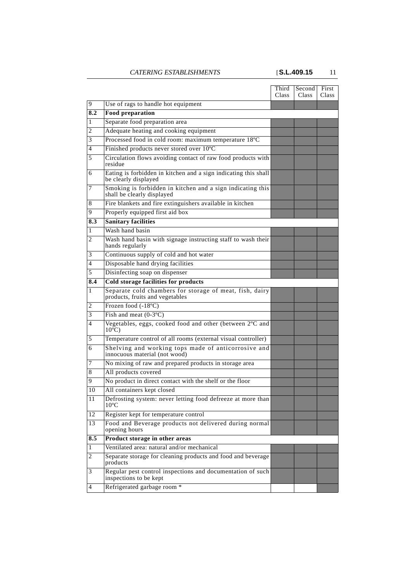|     |                                                                                            | Third<br>Class | Second<br>Class | First<br><b>Class</b> |
|-----|--------------------------------------------------------------------------------------------|----------------|-----------------|-----------------------|
| 9   | Use of rags to handle hot equipment                                                        |                |                 |                       |
| 8.2 | <b>Food preparation</b>                                                                    |                |                 |                       |
| 1   | Separate food preparation area                                                             |                |                 |                       |
| 2   | Adequate heating and cooking equipment                                                     |                |                 |                       |
| 3   | Processed food in cold room: maximum temperature 18°C                                      |                |                 |                       |
| 4   | Finished products never stored over 10°C                                                   |                |                 |                       |
| 5   | Circulation flows avoiding contact of raw food products with<br>residue                    |                |                 |                       |
| 6   | Eating is forbidden in kitchen and a sign indicating this shall<br>be clearly displayed    |                |                 |                       |
| 7   | Smoking is forbidden in kitchen and a sign indicating this<br>shall be clearly displayed   |                |                 |                       |
| 8   | Fire blankets and fire extinguishers available in kitchen                                  |                |                 |                       |
| 9   | Properly equipped first aid box                                                            |                |                 |                       |
| 8.3 | <b>Sanitary facilities</b>                                                                 |                |                 |                       |
| 1   | Wash hand basin                                                                            |                |                 |                       |
| 2   | Wash hand basin with signage instructing staff to wash their<br>hands regularly            |                |                 |                       |
| 3   | Continuous supply of cold and hot water                                                    |                |                 |                       |
| 4   | Disposable hand drying facilities                                                          |                |                 |                       |
| 5   | Disinfecting soap on dispenser                                                             |                |                 |                       |
| 8.4 | <b>Cold storage facilities for products</b>                                                |                |                 |                       |
| 1   | Separate cold chambers for storage of meat, fish, dairy<br>products, fruits and vegetables |                |                 |                       |
| 2   | Frozen food (-18°C)                                                                        |                |                 |                       |
| 3   | Fish and meat $(0-3°C)$                                                                    |                |                 |                       |
| 4   | Vegetables, eggs, cooked food and other (between 2°C and<br>$10^{\circ}$ C)                |                |                 |                       |
| 5   | Temperature control of all rooms (external visual controller)                              |                |                 |                       |
| 6   | Shelving and working tops made of anticorrosive and<br>innocuous material (not wood)       |                |                 |                       |
| 7   | No mixing of raw and prepared products in storage area                                     |                |                 |                       |
| 8   | All products covered                                                                       |                |                 |                       |
| 9   | No product in direct contact with the shelf or the floor                                   |                |                 |                       |
| 10  | All containers kept closed                                                                 |                |                 |                       |
| 11  | Defrosting system: never letting food defreeze at more than<br>$10^{\circ}$ C              |                |                 |                       |
| 12  | Register kept for temperature control                                                      |                |                 |                       |
| 13  | Food and Beverage products not delivered during normal<br>opening hours                    |                |                 |                       |
| 8.5 | Product storage in other areas                                                             |                |                 |                       |
| 1   | Ventilated area: natural and/or mechanical                                                 |                |                 |                       |
| 2   | Separate storage for cleaning products and food and beverage<br>products                   |                |                 |                       |
| 3   | Regular pest control inspections and documentation of such<br>inspections to be kept       |                |                 |                       |
| 4   | Refrigerated garbage room *                                                                |                |                 |                       |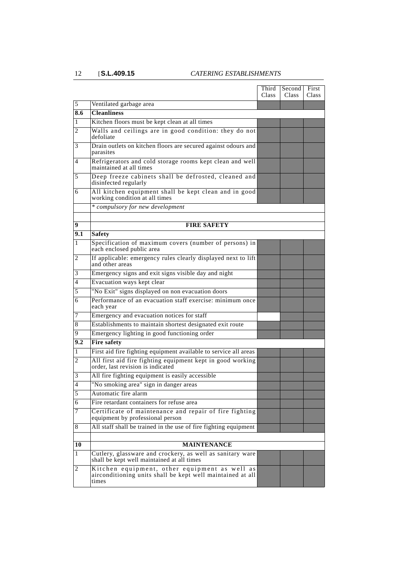|          |                                                                                                                      | Third<br>Class | Second<br>Class | First<br><b>Class</b> |
|----------|----------------------------------------------------------------------------------------------------------------------|----------------|-----------------|-----------------------|
| 5        | Ventilated garbage area                                                                                              |                |                 |                       |
| 8.6      | <b>Cleanliness</b>                                                                                                   |                |                 |                       |
| 1        | Kitchen floors must be kept clean at all times                                                                       |                |                 |                       |
| 2        | Walls and ceilings are in good condition: they do not<br>defoliate                                                   |                |                 |                       |
| 3        | Drain outlets on kitchen floors are secured against odours and<br>parasites                                          |                |                 |                       |
| 4        | Refrigerators and cold storage rooms kept clean and well<br>maintained at all times                                  |                |                 |                       |
| 5        | Deep freeze cabinets shall be defrosted, cleaned and<br>disinfected regularly                                        |                |                 |                       |
| 6        | All kitchen equipment shall be kept clean and in good<br>working condition at all times                              |                |                 |                       |
|          | * compulsory for new development                                                                                     |                |                 |                       |
|          | <b>FIRE SAFETY</b>                                                                                                   |                |                 |                       |
| 9<br>9.1 | <b>Safety</b>                                                                                                        |                |                 |                       |
| 1        | Specification of maximum covers (number of persons) in                                                               |                |                 |                       |
|          | each enclosed public area                                                                                            |                |                 |                       |
| 2        | If applicable: emergency rules clearly displayed next to lift<br>and other areas                                     |                |                 |                       |
| 3        | Emergency signs and exit signs visible day and night                                                                 |                |                 |                       |
| 4        | Evacuation ways kept clear                                                                                           |                |                 |                       |
| 5        | "No Exit" signs displayed on non evacuation doors                                                                    |                |                 |                       |
| 6        | Performance of an evacuation staff exercise: minimum once<br>each year                                               |                |                 |                       |
| 7        | Emergency and evacuation notices for staff                                                                           |                |                 |                       |
| 8        | Establishments to maintain shortest designated exit route                                                            |                |                 |                       |
| 9        | Emergency lighting in good functioning order                                                                         |                |                 |                       |
| 9.2      | <b>Fire safety</b>                                                                                                   |                |                 |                       |
| 1        | First aid fire fighting equipment available to service all areas                                                     |                |                 |                       |
| 2        | All first aid fire fighting equipment kept in good working<br>order, last revision is indicated                      |                |                 |                       |
| 3        | All fire fighting equipment is easily accessible                                                                     |                |                 |                       |
| 4        | "No smoking area" sign in danger areas                                                                               |                |                 |                       |
| 5        | Automatic fire alarm                                                                                                 |                |                 |                       |
| 6        | Fire retardant containers for refuse area                                                                            |                |                 |                       |
| 7        | Certificate of maintenance and repair of fire fighting<br>equipment by professional person                           |                |                 |                       |
| 8        | All staff shall be trained in the use of fire fighting equipment                                                     |                |                 |                       |
| 10       | <b>MAINTENANCE</b>                                                                                                   |                |                 |                       |
|          |                                                                                                                      |                |                 |                       |
| 1        | Cutlery, glassware and crockery, as well as sanitary ware<br>shall be kept well maintained at all times              |                |                 |                       |
| 2        | Kitchen equipment, other equipment as well as<br>airconditioning units shall be kept well maintained at all<br>times |                |                 |                       |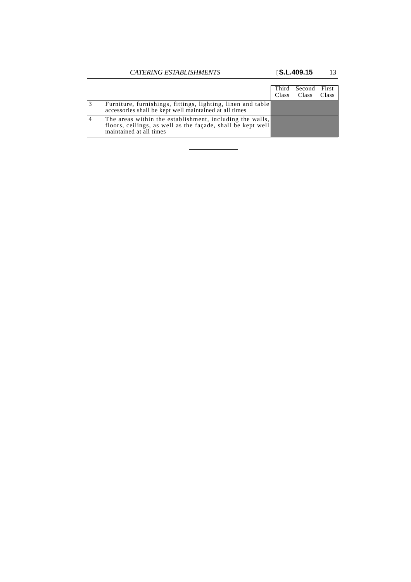|                                                                                                                                                    | Third<br>Class | Second First<br>  Class | Class |
|----------------------------------------------------------------------------------------------------------------------------------------------------|----------------|-------------------------|-------|
| Furniture, furnishings, fittings, lighting, linen and table<br>accessories shall be kept well maintained at all times                              |                |                         |       |
| The areas within the establishment, including the walls,<br>floors, ceilings, as well as the façade, shall be kept well<br>maintained at all times |                |                         |       |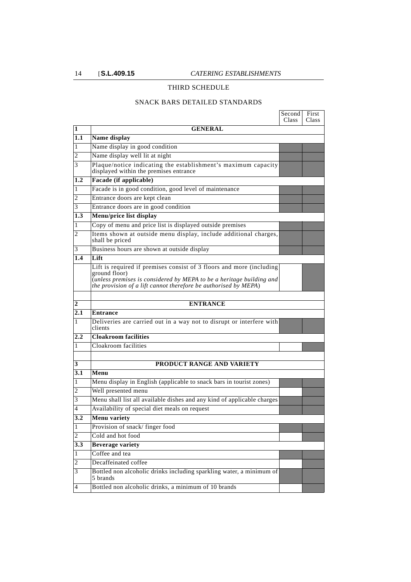#### THIRD SCHEDULE

#### SNACK BARS DETAILED STANDARDS

|                |                                                                                                                                                                                                                                  | Second<br>Class | First<br>Class |
|----------------|----------------------------------------------------------------------------------------------------------------------------------------------------------------------------------------------------------------------------------|-----------------|----------------|
| 1              | <b>GENERAL</b>                                                                                                                                                                                                                   |                 |                |
| 1.1            | Name display                                                                                                                                                                                                                     |                 |                |
| 1              | Name display in good condition                                                                                                                                                                                                   |                 |                |
| 2              | Name display well lit at night                                                                                                                                                                                                   |                 |                |
| 3              | Plaque/notice indicating the establishment's maximum capacity<br>displayed within the premises entrance                                                                                                                          |                 |                |
| 1.2            | Facade (if applicable)                                                                                                                                                                                                           |                 |                |
| 1              | Facade is in good condition, good level of maintenance                                                                                                                                                                           |                 |                |
| 2              | Entrance doors are kept clean                                                                                                                                                                                                    |                 |                |
| 3              | Entrance doors are in good condition                                                                                                                                                                                             |                 |                |
| 1.3            | Menu/price list display                                                                                                                                                                                                          |                 |                |
| 1              | Copy of menu and price list is displayed outside premises                                                                                                                                                                        |                 |                |
| 2              | Items shown at outside menu display, include additional charges,<br>shall be priced                                                                                                                                              |                 |                |
| 3              | Business hours are shown at outside display                                                                                                                                                                                      |                 |                |
| 1.4            | Lift                                                                                                                                                                                                                             |                 |                |
|                | Lift is required if premises consist of 3 floors and more (including<br>ground floor)<br>(unless premises is considered by MEPA to be a heritage building and<br>the provision of a lift cannot therefore be authorised by MEPA) |                 |                |
|                |                                                                                                                                                                                                                                  |                 |                |
| 2              | <b>ENTRANCE</b>                                                                                                                                                                                                                  |                 |                |
| 2.1            | <b>Entrance</b>                                                                                                                                                                                                                  |                 |                |
| 1              | Deliveries are carried out in a way not to disrupt or interfere with<br>clients                                                                                                                                                  |                 |                |
| $2.2\,$        | <b>Cloakroom facilities</b>                                                                                                                                                                                                      |                 |                |
| 1              | Cloakroom facilities                                                                                                                                                                                                             |                 |                |
| 3              | PRODUCT RANGE AND VARIETY                                                                                                                                                                                                        |                 |                |
| 3.1            | Menu                                                                                                                                                                                                                             |                 |                |
| 1              | Menu display in English (applicable to snack bars in tourist zones)                                                                                                                                                              |                 |                |
| 2              | Well presented menu                                                                                                                                                                                                              |                 |                |
| 3              | Menu shall list all available dishes and any kind of applicable charges                                                                                                                                                          |                 |                |
| 4              | Availability of special diet meals on request                                                                                                                                                                                    |                 |                |
| 3.2            | Menu variety                                                                                                                                                                                                                     |                 |                |
| $\mathbf{1}$   | Provision of snack/finger food                                                                                                                                                                                                   |                 |                |
| 2              | Cold and hot food                                                                                                                                                                                                                |                 |                |
| 3.3            | <b>Beverage variety</b>                                                                                                                                                                                                          |                 |                |
| 1              | Coffee and tea                                                                                                                                                                                                                   |                 |                |
| $\overline{c}$ | Decaffeinated coffee                                                                                                                                                                                                             |                 |                |
| 3              | Bottled non alcoholic drinks including sparkling water, a minimum of<br>5 brands                                                                                                                                                 |                 |                |
| $\overline{4}$ | Bottled non alcoholic drinks, a minimum of 10 brands                                                                                                                                                                             |                 |                |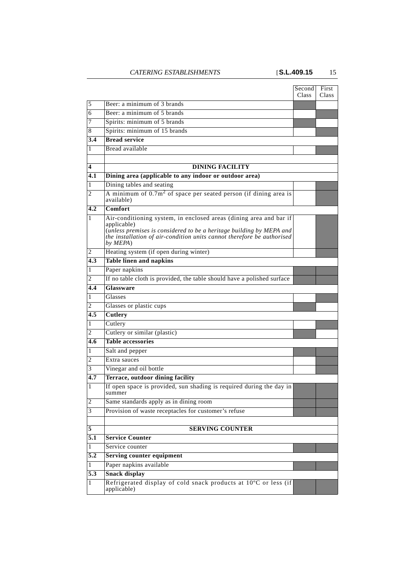|                  |                                                                                                                                                                                                                                                 | Second<br>Class | First<br><b>Class</b> |
|------------------|-------------------------------------------------------------------------------------------------------------------------------------------------------------------------------------------------------------------------------------------------|-----------------|-----------------------|
| 5                | Beer: a minimum of 3 brands                                                                                                                                                                                                                     |                 |                       |
| 6                | Beer: a minimum of 5 brands                                                                                                                                                                                                                     |                 |                       |
| 7                | Spirits: minimum of 5 brands                                                                                                                                                                                                                    |                 |                       |
| 8                | Spirits: minimum of 15 brands                                                                                                                                                                                                                   |                 |                       |
| 3.4              | <b>Bread service</b>                                                                                                                                                                                                                            |                 |                       |
| 1                | Bread available                                                                                                                                                                                                                                 |                 |                       |
|                  |                                                                                                                                                                                                                                                 |                 |                       |
| 4                | <b>DINING FACILITY</b>                                                                                                                                                                                                                          |                 |                       |
| 4.1              | Dining area (applicable to any indoor or outdoor area)                                                                                                                                                                                          |                 |                       |
| 1                | Dining tables and seating                                                                                                                                                                                                                       |                 |                       |
| 2                | A minimum of $0.7m2$ of space per seated person (if dining area is<br>available)                                                                                                                                                                |                 |                       |
| 4.2              | Comfort                                                                                                                                                                                                                                         |                 |                       |
| 1                | Air-conditioning system, in enclosed areas (dining area and bar if<br>applicable)<br>(unless premises is considered to be a heritage building by MEPA and<br>the installation of air-condition units cannot therefore be authorised<br>by MEPA) |                 |                       |
| 2                | Heating system (if open during winter)                                                                                                                                                                                                          |                 |                       |
| 4.3              | <b>Table linen and napkins</b>                                                                                                                                                                                                                  |                 |                       |
| 1                | Paper napkins                                                                                                                                                                                                                                   |                 |                       |
| 2                | If no table cloth is provided, the table should have a polished surface                                                                                                                                                                         |                 |                       |
| 4.4              | Glassware                                                                                                                                                                                                                                       |                 |                       |
| 1                | Glasses                                                                                                                                                                                                                                         |                 |                       |
| 2                | Glasses or plastic cups                                                                                                                                                                                                                         |                 |                       |
| 4.5              | Cutlery                                                                                                                                                                                                                                         |                 |                       |
| 1                | Cutlery                                                                                                                                                                                                                                         |                 |                       |
| 2                | Cutlery or similar (plastic)                                                                                                                                                                                                                    |                 |                       |
| 4.6              | <b>Table accessories</b>                                                                                                                                                                                                                        |                 |                       |
| 1                | Salt and pepper                                                                                                                                                                                                                                 |                 |                       |
| 2                | Extra sauces                                                                                                                                                                                                                                    |                 |                       |
| 3<br>4.7         | Vinegar and oil bottle<br><b>Terrace, outdoor dining facility</b>                                                                                                                                                                               |                 |                       |
| 1                | If open space is provided, sun shading is required during the day in                                                                                                                                                                            |                 |                       |
|                  | summer                                                                                                                                                                                                                                          |                 |                       |
| 2                | Same standards apply as in dining room                                                                                                                                                                                                          |                 |                       |
| 3                | Provision of waste receptacles for customer's refuse                                                                                                                                                                                            |                 |                       |
|                  |                                                                                                                                                                                                                                                 |                 |                       |
| 5                | <b>SERVING COUNTER</b>                                                                                                                                                                                                                          |                 |                       |
| 5.1              | <b>Service Counter</b>                                                                                                                                                                                                                          |                 |                       |
| 1                | Service counter                                                                                                                                                                                                                                 |                 |                       |
| $\overline{5.2}$ | <b>Serving counter equipment</b>                                                                                                                                                                                                                |                 |                       |
| 1                | Paper napkins available                                                                                                                                                                                                                         |                 |                       |
| $\overline{5.3}$ | <b>Snack display</b>                                                                                                                                                                                                                            |                 |                       |
| 1                | Refrigerated display of cold snack products at 10°C or less (if<br>applicable)                                                                                                                                                                  |                 |                       |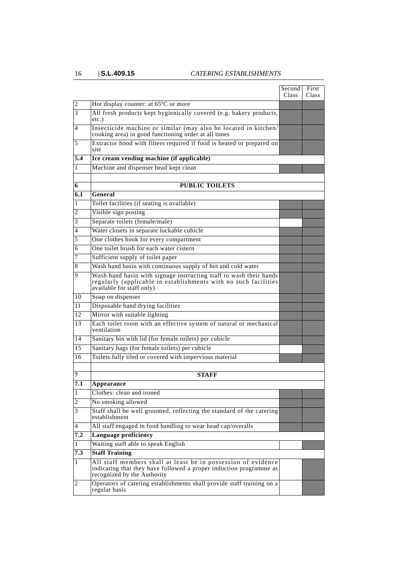|              |                                                                                                                                                                    | Second<br>Class | First<br><b>Class</b> |
|--------------|--------------------------------------------------------------------------------------------------------------------------------------------------------------------|-----------------|-----------------------|
| 2            | Hot display counter: at 65°C or more                                                                                                                               |                 |                       |
| 3            | All fresh products kept hygienically covered (e.g. bakery products,<br>etc.)                                                                                       |                 |                       |
| 4            | Insecticide machine or similar (may also be located in kitchen/<br>cooking area) in good functioning order at all times                                            |                 |                       |
| 5            | Extractor hood with filters required if food is heated or prepared on<br>site                                                                                      |                 |                       |
| 5.4          | Ice cream vending machine (if applicable)                                                                                                                          |                 |                       |
| 1            | Machine and dispenser head kept clean                                                                                                                              |                 |                       |
|              |                                                                                                                                                                    |                 |                       |
| 6            | <b>PUBLIC TOILETS</b>                                                                                                                                              |                 |                       |
| 6.1          | General                                                                                                                                                            |                 |                       |
| 1            | Toilet facilities (if seating is available)                                                                                                                        |                 |                       |
| 2            | Visible sign posting                                                                                                                                               |                 |                       |
| 3            | Separate toilets (female/male)                                                                                                                                     |                 |                       |
| 4            | Water closets in separate lockable cubicle                                                                                                                         |                 |                       |
| 5            | One clothes hook for every compartment                                                                                                                             |                 |                       |
| 6            | One toilet brush for each water cistern                                                                                                                            |                 |                       |
| 7            | Sufficient supply of toilet paper                                                                                                                                  |                 |                       |
| 8            | Wash hand basin with continuous supply of hot and cold water                                                                                                       |                 |                       |
| 9            | Wash hand basin with signage instructing staff to wash their hands<br>regularly (applicable in establishments with no such facilities<br>available for staff only) |                 |                       |
| 10           | Soap on dispenser                                                                                                                                                  |                 |                       |
| 11           | Disposable hand drying facilities                                                                                                                                  |                 |                       |
| 12           | Mirror with suitable lighting                                                                                                                                      |                 |                       |
| 13           | Each toilet room with an effective system of natural or mechanical<br>ventilation                                                                                  |                 |                       |
| 14           | Sanitary bin with lid (for female toilets) per cubicle                                                                                                             |                 |                       |
| 15           | Sanitary bags (for female toilets) per cubicle                                                                                                                     |                 |                       |
| 16           | Toilets fully tiled or covered with impervious material                                                                                                            |                 |                       |
|              |                                                                                                                                                                    |                 |                       |
| 7            | <b>STAFF</b>                                                                                                                                                       |                 |                       |
| 7.1          | Appearance                                                                                                                                                         |                 |                       |
| 1            | Clothes: clean and ironed                                                                                                                                          |                 |                       |
| $\mathbf{2}$ | No smoking allowed                                                                                                                                                 |                 |                       |
| 3            | Staff shall be well groomed, reflecting the standard of the catering<br>establishment                                                                              |                 |                       |
| 4            | All staff engaged in food handling to wear head cap/overalls                                                                                                       |                 |                       |
| 7.2          | <b>Language proficiency</b>                                                                                                                                        |                 |                       |
| 1            | Waiting staff able to speak English                                                                                                                                |                 |                       |
| 7.3          | <b>Staff Training</b>                                                                                                                                              |                 |                       |
| 1            | All staff members shall at least be in possession of evidence<br>indicating that they have followed a proper induction programme as<br>recognized by the Authority |                 |                       |
| 2            | Operators of catering establishments shall provide staff training on a<br>regular basis                                                                            |                 |                       |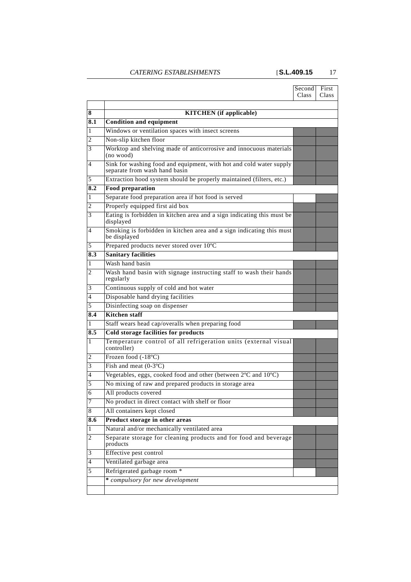|                |                                                                                                      | Second<br>Class | First<br>Class |
|----------------|------------------------------------------------------------------------------------------------------|-----------------|----------------|
|                |                                                                                                      |                 |                |
| 8              | <b>KITCHEN</b> (if applicable)                                                                       |                 |                |
| 8.1            | <b>Condition and equipment</b>                                                                       |                 |                |
| 1              | Windows or ventilation spaces with insect screens                                                    |                 |                |
| 2              | Non-slip kitchen floor                                                                               |                 |                |
| 3              | Worktop and shelving made of anticorrosive and innocuous materials<br>(no wood)                      |                 |                |
| 4              | Sink for washing food and equipment, with hot and cold water supply<br>separate from wash hand basin |                 |                |
| 5              | Extraction hood system should be properly maintained (filters, etc.)                                 |                 |                |
| 8.2            | <b>Food preparation</b>                                                                              |                 |                |
| 1              | Separate food preparation area if hot food is served                                                 |                 |                |
| 2              | Properly equipped first aid box                                                                      |                 |                |
| 3              | Eating is forbidden in kitchen area and a sign indicating this must be<br>displayed                  |                 |                |
| 4              | Smoking is forbidden in kitchen area and a sign indicating this must<br>be displayed                 |                 |                |
| 5              | Prepared products never stored over 10°C                                                             |                 |                |
| 8.3            | <b>Sanitary facilities</b>                                                                           |                 |                |
| 1              | Wash hand basin                                                                                      |                 |                |
| 2              | Wash hand basin with signage instructing staff to wash their hands<br>regularly                      |                 |                |
| 3              | Continuous supply of cold and hot water                                                              |                 |                |
| 4              | Disposable hand drying facilities                                                                    |                 |                |
| 5              | Disinfecting soap on dispenser                                                                       |                 |                |
| 8.4            | <b>Kitchen</b> staff                                                                                 |                 |                |
| 1              | Staff wears head cap/overalls when preparing food                                                    |                 |                |
| 8.5            | <b>Cold storage facilities for products</b>                                                          |                 |                |
| 1              | Temperature control of all refrigeration units (external visual<br>controller)                       |                 |                |
| 2              | Frozen food (-18°C)                                                                                  |                 |                |
| 3              | Fish and meat $(0-3°C)$                                                                              |                 |                |
| 4              | Vegetables, eggs, cooked food and other (between 2°C and 10°C)                                       |                 |                |
| 5              | No mixing of raw and prepared products in storage area                                               |                 |                |
| 6              | All products covered                                                                                 |                 |                |
| 7              | No product in direct contact with shelf or floor                                                     |                 |                |
| 8              | All containers kept closed                                                                           |                 |                |
| 8.6            | Product storage in other areas                                                                       |                 |                |
| 1              | Natural and/or mechanically ventilated area                                                          |                 |                |
| 2              | Separate storage for cleaning products and for food and beverage<br>products                         |                 |                |
| 3              | Effective pest control                                                                               |                 |                |
| $\overline{4}$ | Ventilated garbage area                                                                              |                 |                |
| 5              | Refrigerated garbage room *                                                                          |                 |                |
|                |                                                                                                      |                 |                |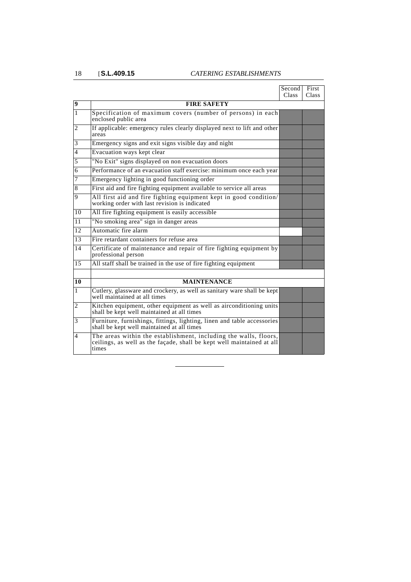|                          |                                                                                                                                                    | Second<br>Class | First<br>Class |
|--------------------------|----------------------------------------------------------------------------------------------------------------------------------------------------|-----------------|----------------|
| $\boldsymbol{9}$         | <b>FIRE SAFETY</b>                                                                                                                                 |                 |                |
| 1                        | Specification of maximum covers (number of persons) in each<br>enclosed public area                                                                |                 |                |
| 2                        | If applicable: emergency rules clearly displayed next to lift and other<br>areas                                                                   |                 |                |
| 3                        | Emergency signs and exit signs visible day and night                                                                                               |                 |                |
| $\overline{\mathcal{L}}$ | Evacuation ways kept clear                                                                                                                         |                 |                |
| 5                        | "No Exit" signs displayed on non evacuation doors                                                                                                  |                 |                |
| 6                        | Performance of an evacuation staff exercise: minimum once each year                                                                                |                 |                |
| 7                        | Emergency lighting in good functioning order                                                                                                       |                 |                |
| 8                        | First aid and fire fighting equipment available to service all areas                                                                               |                 |                |
| 9                        | All first aid and fire fighting equipment kept in good condition/<br>working order with last revision is indicated                                 |                 |                |
| 10                       | All fire fighting equipment is easily accessible                                                                                                   |                 |                |
| 11                       | "No smoking area" sign in danger areas                                                                                                             |                 |                |
| 12                       | Automatic fire alarm                                                                                                                               |                 |                |
| 13                       | Fire retardant containers for refuse area                                                                                                          |                 |                |
| 14                       | Certificate of maintenance and repair of fire fighting equipment by<br>professional person                                                         |                 |                |
| 15                       | All staff shall be trained in the use of fire fighting equipment                                                                                   |                 |                |
|                          |                                                                                                                                                    |                 |                |
| 10                       | <b>MAINTENANCE</b>                                                                                                                                 |                 |                |
| 1                        | Cutlery, glassware and crockery, as well as sanitary ware shall be kept<br>well maintained at all times                                            |                 |                |
| $\overline{c}$           | Kitchen equipment, other equipment as well as airconditioning units<br>shall be kept well maintained at all times                                  |                 |                |
| 3                        | Furniture, furnishings, fittings, lighting, linen and table accessories<br>shall be kept well maintained at all times                              |                 |                |
| 4                        | The areas within the establishment, including the walls, floors,<br>ceilings, as well as the façade, shall be kept well maintained at all<br>times |                 |                |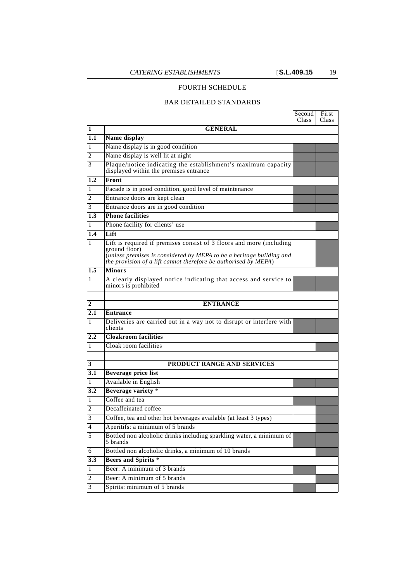#### FOURTH SCHEDULE

#### BAR DETAILED STANDARDS

|                         |                                                                                                                                                                                                                                  | Second<br>Class | First<br>Class |
|-------------------------|----------------------------------------------------------------------------------------------------------------------------------------------------------------------------------------------------------------------------------|-----------------|----------------|
| 1                       | <b>GENERAL</b>                                                                                                                                                                                                                   |                 |                |
| 1.1                     | Name display                                                                                                                                                                                                                     |                 |                |
| 1                       | Name display is in good condition                                                                                                                                                                                                |                 |                |
| 2                       | Name display is well lit at night                                                                                                                                                                                                |                 |                |
| 3                       | Plaque/notice indicating the establishment's maximum capacity<br>displayed within the premises entrance                                                                                                                          |                 |                |
| 1.2                     | Front                                                                                                                                                                                                                            |                 |                |
| 1                       | Facade is in good condition, good level of maintenance                                                                                                                                                                           |                 |                |
| 2                       | Entrance doors are kept clean                                                                                                                                                                                                    |                 |                |
| 3                       | Entrance doors are in good condition                                                                                                                                                                                             |                 |                |
| 1.3                     | <b>Phone facilities</b>                                                                                                                                                                                                          |                 |                |
| 1                       | Phone facility for clients' use                                                                                                                                                                                                  |                 |                |
| 1.4                     | Lift                                                                                                                                                                                                                             |                 |                |
| 1                       | Lift is required if premises consist of 3 floors and more (including<br>ground floor)<br>(unless premises is considered by MEPA to be a heritage building and<br>the provision of a lift cannot therefore be authorised by MEPA) |                 |                |
| 1.5                     | <b>Minors</b>                                                                                                                                                                                                                    |                 |                |
| 1                       | A clearly displayed notice indicating that access and service to<br>minors is prohibited                                                                                                                                         |                 |                |
|                         |                                                                                                                                                                                                                                  |                 |                |
| 2                       | <b>ENTRANCE</b>                                                                                                                                                                                                                  |                 |                |
| 2.1                     | <b>Entrance</b>                                                                                                                                                                                                                  |                 |                |
| 1                       | Deliveries are carried out in a way not to disrupt or interfere with<br>clients                                                                                                                                                  |                 |                |
| $2.2\,$                 | <b>Cloakroom facilities</b>                                                                                                                                                                                                      |                 |                |
| 1                       | Cloak room facilities                                                                                                                                                                                                            |                 |                |
|                         |                                                                                                                                                                                                                                  |                 |                |
| 3                       | <b>PRODUCT RANGE AND SERVICES</b>                                                                                                                                                                                                |                 |                |
| 3.1                     | Beverage price list                                                                                                                                                                                                              |                 |                |
| 1                       | Available in English                                                                                                                                                                                                             |                 |                |
| 3.2                     | Beverage variety *                                                                                                                                                                                                               |                 |                |
| 1                       | Coffee and tea                                                                                                                                                                                                                   |                 |                |
| 2                       | Decaffeinated coffee                                                                                                                                                                                                             |                 |                |
| 3                       | Coffee, tea and other hot beverages available (at least 3 types)                                                                                                                                                                 |                 |                |
| $\overline{4}$          | Aperitifs: a minimum of 5 brands                                                                                                                                                                                                 |                 |                |
| 5                       | Bottled non alcoholic drinks including sparkling water, a minimum of<br>5 brands                                                                                                                                                 |                 |                |
| 6                       | Bottled non alcoholic drinks, a minimum of 10 brands                                                                                                                                                                             |                 |                |
| $3.\overline{3}$        | Beers and Spirits *                                                                                                                                                                                                              |                 |                |
| 1                       | Beer: A minimum of 3 brands                                                                                                                                                                                                      |                 |                |
| $\overline{\mathbf{c}}$ | Beer: A minimum of 5 brands                                                                                                                                                                                                      |                 |                |
| 3                       | Spirits: minimum of 5 brands                                                                                                                                                                                                     |                 |                |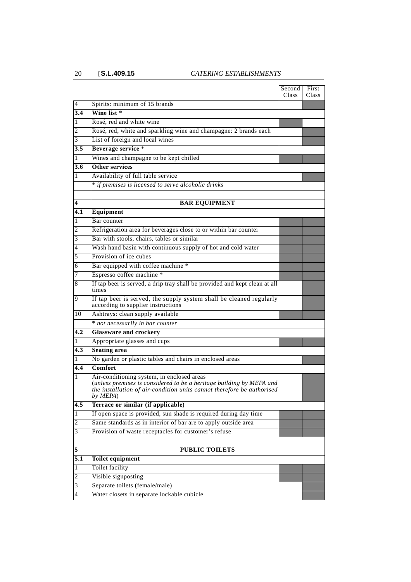|                  |                                                                                                                                                                                                          | Second<br>Class | First<br>Class |
|------------------|----------------------------------------------------------------------------------------------------------------------------------------------------------------------------------------------------------|-----------------|----------------|
| 4                | Spirits: minimum of 15 brands                                                                                                                                                                            |                 |                |
| 3.4              | Wine list *                                                                                                                                                                                              |                 |                |
| 1                | Rosé, red and white wine                                                                                                                                                                                 |                 |                |
| 2                | Rosé, red, white and sparkling wine and champagne: 2 brands each                                                                                                                                         |                 |                |
| 3                | List of foreign and local wines                                                                                                                                                                          |                 |                |
| 3.5              | Beverage service *                                                                                                                                                                                       |                 |                |
| 1                | Wines and champagne to be kept chilled                                                                                                                                                                   |                 |                |
| 3.6              | Other services                                                                                                                                                                                           |                 |                |
| 1                | Availability of full table service                                                                                                                                                                       |                 |                |
|                  | * if premises is licensed to serve alcoholic drinks                                                                                                                                                      |                 |                |
| 4                | <b>BAR EQUIPMENT</b>                                                                                                                                                                                     |                 |                |
| 4.1              | Equipment                                                                                                                                                                                                |                 |                |
| 1                | Bar counter                                                                                                                                                                                              |                 |                |
| 2                | Refrigeration area for beverages close to or within bar counter                                                                                                                                          |                 |                |
| 3                | Bar with stools, chairs, tables or similar                                                                                                                                                               |                 |                |
| 4                | Wash hand basin with continuous supply of hot and cold water                                                                                                                                             |                 |                |
| 5                | Provision of ice cubes                                                                                                                                                                                   |                 |                |
| 6                | Bar equipped with coffee machine *                                                                                                                                                                       |                 |                |
| 7                | Espresso coffee machine *                                                                                                                                                                                |                 |                |
| 8                | If tap beer is served, a drip tray shall be provided and kept clean at all<br>times                                                                                                                      |                 |                |
| 9                | If tap beer is served, the supply system shall be cleaned regularly<br>according to supplier instructions                                                                                                |                 |                |
| 10               | Ashtrays: clean supply available                                                                                                                                                                         |                 |                |
|                  | * not necessarily in bar counter                                                                                                                                                                         |                 |                |
| 4.2              | <b>Glassware and crockery</b>                                                                                                                                                                            |                 |                |
| 1                | Appropriate glasses and cups                                                                                                                                                                             |                 |                |
| 4.3              | <b>Seating area</b>                                                                                                                                                                                      |                 |                |
|                  | No garden or plastic tables and chairs in enclosed areas                                                                                                                                                 |                 |                |
| 4.4              | Comfort                                                                                                                                                                                                  |                 |                |
| 1                | Air-conditioning system, in enclosed areas<br>(unless premises is considered to be a heritage building by MEPA and<br>the installation of air-condition units cannot therefore be authorised<br>by MEPA) |                 |                |
| 4.5              | Terrace or similar (if applicable)                                                                                                                                                                       |                 |                |
| 1                | If open space is provided, sun shade is required during day time                                                                                                                                         |                 |                |
| 2                | Same standards as in interior of bar are to apply outside area                                                                                                                                           |                 |                |
| 3                | Provision of waste receptacles for customer's refuse                                                                                                                                                     |                 |                |
| 5                | <b>PUBLIC TOILETS</b>                                                                                                                                                                                    |                 |                |
| $\overline{5.1}$ | Toilet equipment                                                                                                                                                                                         |                 |                |
| 1                | Toilet facility                                                                                                                                                                                          |                 |                |
| $\overline{c}$   | Visible signposting                                                                                                                                                                                      |                 |                |
| 3                | Separate toilets (female/male)                                                                                                                                                                           |                 |                |
| $\overline{4}$   | Water closets in separate lockable cubicle                                                                                                                                                               |                 |                |
|                  |                                                                                                                                                                                                          |                 |                |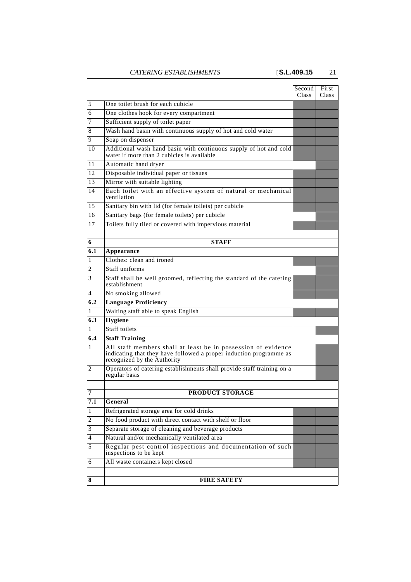|     |                                                                                                                                                                    | Second<br>Class | First<br><b>Class</b> |
|-----|--------------------------------------------------------------------------------------------------------------------------------------------------------------------|-----------------|-----------------------|
| 5   | One toilet brush for each cubicle                                                                                                                                  |                 |                       |
| 6   | One clothes hook for every compartment                                                                                                                             |                 |                       |
| 7   | Sufficient supply of toilet paper                                                                                                                                  |                 |                       |
| 8   | Wash hand basin with continuous supply of hot and cold water                                                                                                       |                 |                       |
| 9   | Soap on dispenser                                                                                                                                                  |                 |                       |
| 10  | Additional wash hand basin with continuous supply of hot and cold<br>water if more than 2 cubicles is available                                                    |                 |                       |
| 11  | Automatic hand dryer                                                                                                                                               |                 |                       |
| 12  | Disposable individual paper or tissues                                                                                                                             |                 |                       |
| 13  | Mirror with suitable lighting                                                                                                                                      |                 |                       |
| 14  | Each toilet with an effective system of natural or mechanical<br>ventilation                                                                                       |                 |                       |
| 15  | Sanitary bin with lid (for female toilets) per cubicle                                                                                                             |                 |                       |
| 16  | Sanitary bags (for female toilets) per cubicle                                                                                                                     |                 |                       |
| 17  | Toilets fully tiled or covered with impervious material                                                                                                            |                 |                       |
| 6   | <b>STAFF</b>                                                                                                                                                       |                 |                       |
| 6.1 | Appearance                                                                                                                                                         |                 |                       |
| 1   | Clothes: clean and ironed                                                                                                                                          |                 |                       |
| 2   | Staff uniforms                                                                                                                                                     |                 |                       |
| 3   | Staff shall be well groomed, reflecting the standard of the catering                                                                                               |                 |                       |
|     | establishment                                                                                                                                                      |                 |                       |
| 4   | No smoking allowed                                                                                                                                                 |                 |                       |
| 6.2 | <b>Language Proficiency</b>                                                                                                                                        |                 |                       |
| 1   | Waiting staff able to speak English                                                                                                                                |                 |                       |
| 6.3 | <b>Hygiene</b>                                                                                                                                                     |                 |                       |
| 1   | <b>Staff toilets</b>                                                                                                                                               |                 |                       |
| 6.4 | <b>Staff Training</b>                                                                                                                                              |                 |                       |
| 1   | All staff members shall at least be in possession of evidence<br>indicating that they have followed a proper induction programme as<br>recognized by the Authority |                 |                       |
| 2   | Operators of catering establishments shall provide staff training on a<br>regular basis                                                                            |                 |                       |
|     |                                                                                                                                                                    |                 |                       |
| 7   | PRODUCT STORAGE                                                                                                                                                    |                 |                       |
| 7.1 | General                                                                                                                                                            |                 |                       |
| 1   | Refrigerated storage area for cold drinks                                                                                                                          |                 |                       |
| 2   | No food product with direct contact with shelf or floor                                                                                                            |                 |                       |
| 3   | Separate storage of cleaning and beverage products                                                                                                                 |                 |                       |
| 4   | Natural and/or mechanically ventilated area                                                                                                                        |                 |                       |
| 5   | Regular pest control inspections and documentation of such<br>inspections to be kept                                                                               |                 |                       |
| 6   | All waste containers kept closed                                                                                                                                   |                 |                       |
|     |                                                                                                                                                                    |                 |                       |
| 8   | <b>FIRE SAFETY</b>                                                                                                                                                 |                 |                       |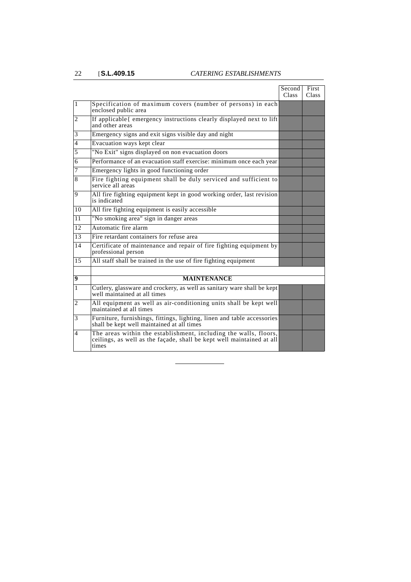|                  |                                                                                                                                                    | Second<br><b>Class</b> | First<br><b>Class</b> |
|------------------|----------------------------------------------------------------------------------------------------------------------------------------------------|------------------------|-----------------------|
| $\mathbf{1}$     | Specification of maximum covers (number of persons) in each<br>enclosed public area                                                                |                        |                       |
| 2                | If applicable{ emergency instructions clearly displayed next to lift<br>and other areas                                                            |                        |                       |
| 3                | Emergency signs and exit signs visible day and night                                                                                               |                        |                       |
| $\overline{4}$   | Evacuation ways kept clear                                                                                                                         |                        |                       |
| 5                | "No Exit" signs displayed on non evacuation doors                                                                                                  |                        |                       |
| 6                | Performance of an evacuation staff exercise: minimum once each year                                                                                |                        |                       |
| 7                | Emergency lights in good functioning order                                                                                                         |                        |                       |
| 8                | Fire fighting equipment shall be duly serviced and sufficient to<br>service all areas                                                              |                        |                       |
| 9                | All fire fighting equipment kept in good working order, last revision<br>is indicated                                                              |                        |                       |
| 10               | All fire fighting equipment is easily accessible                                                                                                   |                        |                       |
| 11               | "No smoking area" sign in danger areas                                                                                                             |                        |                       |
| 12               | Automatic fire alarm                                                                                                                               |                        |                       |
| 13               | Fire retardant containers for refuse area                                                                                                          |                        |                       |
| 14               | Certificate of maintenance and repair of fire fighting equipment by<br>professional person                                                         |                        |                       |
| 15               | All staff shall be trained in the use of fire fighting equipment                                                                                   |                        |                       |
|                  |                                                                                                                                                    |                        |                       |
| $\boldsymbol{9}$ | <b>MAINTENANCE</b>                                                                                                                                 |                        |                       |
| 1                | Cutlery, glassware and crockery, as well as sanitary ware shall be kept<br>well maintained at all times                                            |                        |                       |
| $\overline{2}$   | All equipment as well as air-conditioning units shall be kept well<br>maintained at all times                                                      |                        |                       |
| 3                | Furniture, furnishings, fittings, lighting, linen and table accessories<br>shall be kept well maintained at all times                              |                        |                       |
| 4                | The areas within the establishment, including the walls, floors,<br>ceilings, as well as the façade, shall be kept well maintained at all<br>times |                        |                       |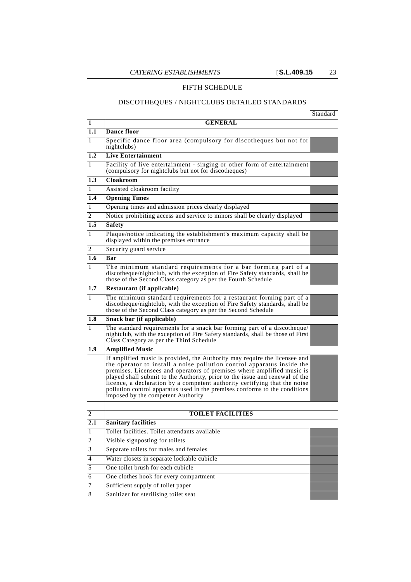### FIFTH SCHEDULE

#### DISCOTHEQUES / NIGHTCLUBS DETAILED STANDARDS

|                  |                                                                                                                                                                                                                                                                                                                                                                                                                                                                                                                 | Standard |
|------------------|-----------------------------------------------------------------------------------------------------------------------------------------------------------------------------------------------------------------------------------------------------------------------------------------------------------------------------------------------------------------------------------------------------------------------------------------------------------------------------------------------------------------|----------|
| 1                | <b>GENERAL</b>                                                                                                                                                                                                                                                                                                                                                                                                                                                                                                  |          |
| 1.1              | <b>Dance floor</b>                                                                                                                                                                                                                                                                                                                                                                                                                                                                                              |          |
| 1                | Specific dance floor area (compulsory for discotheques but not for<br>nightclubs)                                                                                                                                                                                                                                                                                                                                                                                                                               |          |
| $1.2\,$          | <b>Live Entertainment</b>                                                                                                                                                                                                                                                                                                                                                                                                                                                                                       |          |
| 1                | Facility of live entertainment - singing or other form of entertainment<br>(compulsory for nightclubs but not for discotheques)                                                                                                                                                                                                                                                                                                                                                                                 |          |
| 1.3              | Cloakroom                                                                                                                                                                                                                                                                                                                                                                                                                                                                                                       |          |
| 1                | Assisted cloakroom facility                                                                                                                                                                                                                                                                                                                                                                                                                                                                                     |          |
| 1.4              | <b>Opening Times</b>                                                                                                                                                                                                                                                                                                                                                                                                                                                                                            |          |
| 1                | Opening times and admission prices clearly displayed                                                                                                                                                                                                                                                                                                                                                                                                                                                            |          |
| 2                | Notice prohibiting access and service to minors shall be clearly displayed                                                                                                                                                                                                                                                                                                                                                                                                                                      |          |
| 1.5              | <b>Safety</b>                                                                                                                                                                                                                                                                                                                                                                                                                                                                                                   |          |
| 1                | Plaque/notice indicating the establishment's maximum capacity shall be<br>displayed within the premises entrance                                                                                                                                                                                                                                                                                                                                                                                                |          |
| 2                | Security guard service                                                                                                                                                                                                                                                                                                                                                                                                                                                                                          |          |
| 1.6              | Bar                                                                                                                                                                                                                                                                                                                                                                                                                                                                                                             |          |
| 1                | The minimum standard requirements for a bar forming part of a<br>discotheque/nightclub, with the exception of Fire Safety standards, shall be<br>those of the Second Class category as per the Fourth Schedule                                                                                                                                                                                                                                                                                                  |          |
| 1.7              | Restaurant (if applicable)                                                                                                                                                                                                                                                                                                                                                                                                                                                                                      |          |
| 1                | The minimum standard requirements for a restaurant forming part of a<br>discotheque/nightclub, with the exception of Fire Safety standards, shall be<br>those of the Second Class category as per the Second Schedule                                                                                                                                                                                                                                                                                           |          |
| 1.8              | Snack bar (if applicable)                                                                                                                                                                                                                                                                                                                                                                                                                                                                                       |          |
| 1                | The standard requirements for a snack bar forming part of a discotheque/<br>nightclub, with the exception of Fire Safety standards, shall be those of First<br>Class Category as per the Third Schedule                                                                                                                                                                                                                                                                                                         |          |
| 1.9              | <b>Amplified Music</b>                                                                                                                                                                                                                                                                                                                                                                                                                                                                                          |          |
|                  | If amplified music is provided, the Authority may require the licensee and<br>the operator to install a noise pollution control apparatus inside the<br>premises. Licensees and operators of premises where amplified music is<br>played shall submit to the Authority, prior to the issue and renewal of the<br>licence, a declaration by a competent authority certifying that the noise<br>pollution control apparatus used in the premises conforms to the conditions<br>imposed by the competent Authority |          |
| $\mathbf 2$      | <b>TOILET FACILITIES</b>                                                                                                                                                                                                                                                                                                                                                                                                                                                                                        |          |
| $\overline{2.1}$ | <b>Sanitary facilities</b>                                                                                                                                                                                                                                                                                                                                                                                                                                                                                      |          |
| 1                | Toilet facilities. Toilet attendants available                                                                                                                                                                                                                                                                                                                                                                                                                                                                  |          |
| $\overline{c}$   | Visible signposting for toilets                                                                                                                                                                                                                                                                                                                                                                                                                                                                                 |          |
| 3                | Separate toilets for males and females                                                                                                                                                                                                                                                                                                                                                                                                                                                                          |          |
| 4                | Water closets in separate lockable cubicle                                                                                                                                                                                                                                                                                                                                                                                                                                                                      |          |
| 5                | One toilet brush for each cubicle                                                                                                                                                                                                                                                                                                                                                                                                                                                                               |          |
| 6                | One clothes hook for every compartment                                                                                                                                                                                                                                                                                                                                                                                                                                                                          |          |
| 7                | Sufficient supply of toilet paper                                                                                                                                                                                                                                                                                                                                                                                                                                                                               |          |
| $\,8\,$          | Sanitizer for sterilising toilet seat                                                                                                                                                                                                                                                                                                                                                                                                                                                                           |          |
|                  |                                                                                                                                                                                                                                                                                                                                                                                                                                                                                                                 |          |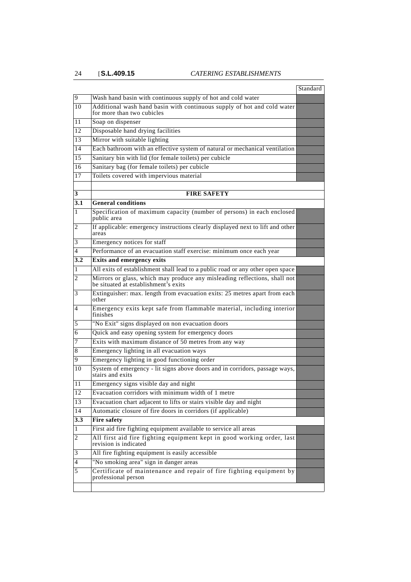|                  |                                                                                                                   | Standard |
|------------------|-------------------------------------------------------------------------------------------------------------------|----------|
| 9                | Wash hand basin with continuous supply of hot and cold water                                                      |          |
| 10               | Additional wash hand basin with continuous supply of hot and cold water<br>for more than two cubicles             |          |
| 11               | Soap on dispenser                                                                                                 |          |
| 12               | Disposable hand drying facilities                                                                                 |          |
| 13               | Mirror with suitable lighting                                                                                     |          |
| 14               | Each bathroom with an effective system of natural or mechanical ventilation                                       |          |
| 15               | Sanitary bin with lid (for female toilets) per cubicle                                                            |          |
| 16               | Sanitary bag (for female toilets) per cubicle                                                                     |          |
| 17               | Toilets covered with impervious material                                                                          |          |
| 3                | <b>FIRE SAFETY</b>                                                                                                |          |
| 3.1              | <b>General conditions</b>                                                                                         |          |
| 1                | Specification of maximum capacity (number of persons) in each enclosed<br>public area                             |          |
| 2                | If applicable: emergency instructions clearly displayed next to lift and other<br>areas                           |          |
| 3                | Emergency notices for staff                                                                                       |          |
| 4                | Performance of an evacuation staff exercise: minimum once each year                                               |          |
| 3.2              | Exits and emergency exits                                                                                         |          |
| 1                | All exits of establishment shall lead to a public road or any other open space                                    |          |
| 2                | Mirrors or glass, which may produce any misleading reflections, shall not<br>be situated at establishment's exits |          |
| 3                | Extinguisher: max. length from evacuation exits: 25 metres apart from each<br>other                               |          |
| 4                | Emergency exits kept safe from flammable material, including interior<br>finishes                                 |          |
| 5                | "No Exit" signs displayed on non evacuation doors                                                                 |          |
| 6                | Quick and easy opening system for emergency doors                                                                 |          |
| 7                | Exits with maximum distance of 50 metres from any way                                                             |          |
| 8                | Emergency lighting in all evacuation ways                                                                         |          |
| 9                | Emergency lighting in good functioning order                                                                      |          |
| 10               | System of emergency - lit signs above doors and in corridors, passage ways,<br>stairs and exits                   |          |
| 11               | Emergency signs visible day and night                                                                             |          |
| 12               | Evacuation corridors with minimum width of 1 metre                                                                |          |
| 13               | Evacuation chart adjacent to lifts or stairs visible day and night                                                |          |
| 14               | Automatic closure of fire doors in corridors (if applicable)                                                      |          |
| $\overline{3.3}$ | <b>Fire safety</b>                                                                                                |          |
| 1                | First aid fire fighting equipment available to service all areas                                                  |          |
| 2                | All first aid fire fighting equipment kept in good working order, last<br>revision is indicated                   |          |
| 3                | All fire fighting equipment is easily accessible                                                                  |          |
| 4                | "No smoking area" sign in danger areas                                                                            |          |
| 5                | Certificate of maintenance and repair of fire fighting equipment by<br>professional person                        |          |
|                  |                                                                                                                   |          |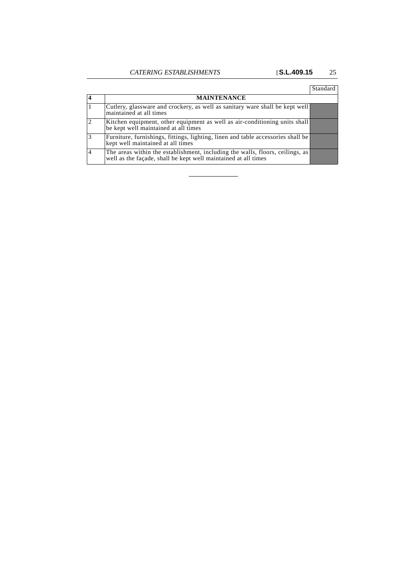|                |                                                                                                                                                 | Standard |
|----------------|-------------------------------------------------------------------------------------------------------------------------------------------------|----------|
|                | <b>MAINTENANCE</b>                                                                                                                              |          |
|                | Cutlery, glassware and crockery, as well as sanitary ware shall be kept well<br>maintained at all times                                         |          |
| $\overline{2}$ | Kitchen equipment, other equipment as well as air-conditioning units shall<br>be kept well maintained at all times                              |          |
| $\overline{3}$ | Furniture, furnishings, fittings, lighting, linen and table accessories shall be<br>kept well maintained at all times                           |          |
| $\overline{4}$ | The areas within the establishment, including the walls, floors, ceilings, as<br>well as the façade, shall be kept well maintained at all times |          |

 $\overline{\phantom{a}}$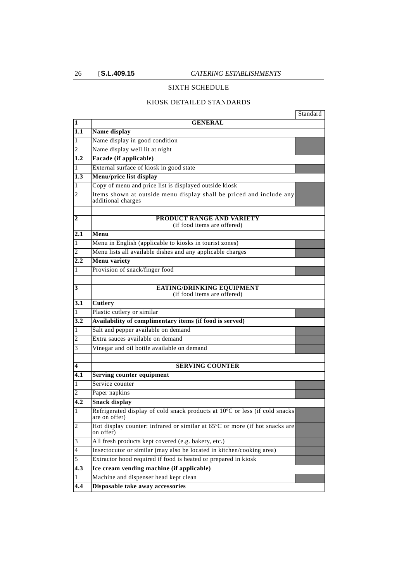### SIXTH SCHEDULE

#### KIOSK DETAILED STANDARDS

|     |                                                                                              | Standard |
|-----|----------------------------------------------------------------------------------------------|----------|
| 1   | <b>GENERAL</b>                                                                               |          |
| 1.1 | Name display                                                                                 |          |
| 1   | Name display in good condition                                                               |          |
| 2   | Name display well lit at night                                                               |          |
| 1.2 | Facade (if applicable)                                                                       |          |
| 1   | External surface of kiosk in good state                                                      |          |
| 1.3 | Menu/price list display                                                                      |          |
| 1   | Copy of menu and price list is displayed outside kiosk                                       |          |
| 2   | Items shown at outside menu display shall be priced and include any<br>additional charges    |          |
| 2   | PRODUCT RANGE AND VARIETY<br>(if food items are offered)                                     |          |
| 2.1 | Menu                                                                                         |          |
| 1   | Menu in English (applicable to kiosks in tourist zones)                                      |          |
| 2   | Menu lists all available dishes and any applicable charges                                   |          |
| 2.2 | Menu variety                                                                                 |          |
| 1   | Provision of snack/finger food                                                               |          |
| 3   | <b>EATING/DRINKING EQUIPMENT</b><br>(if food items are offered)                              |          |
| 3.1 | <b>Cutlery</b>                                                                               |          |
| 1   | Plastic cutlery or similar                                                                   |          |
| 3.2 | Availability of complimentary items (if food is served)                                      |          |
| 1   | Salt and pepper available on demand                                                          |          |
| 2   | Extra sauces available on demand                                                             |          |
| 3   | Vinegar and oil bottle available on demand                                                   |          |
| 4   | <b>SERVING COUNTER</b>                                                                       |          |
| 4.1 | <b>Serving counter equipment</b>                                                             |          |
| 1   | Service counter                                                                              |          |
| 2   | Paper napkins                                                                                |          |
| 4.2 | <b>Snack display</b>                                                                         |          |
| 1   | Refrigerated display of cold snack products at 10°C or less (if cold snacks<br>are on offer) |          |
| 2   | Hot display counter: infrared or similar at 65°C or more (if hot snacks are<br>on offer)     |          |
| 3   | All fresh products kept covered (e.g. bakery, etc.)                                          |          |
| 4   | Insectocutor or similar (may also be located in kitchen/cooking area)                        |          |
| 5   | Extractor hood required if food is heated or prepared in kiosk                               |          |
| 4.3 | Ice cream vending machine (if applicable)                                                    |          |
| 1   | Machine and dispenser head kept clean                                                        |          |
|     | Disposable take away accessories                                                             |          |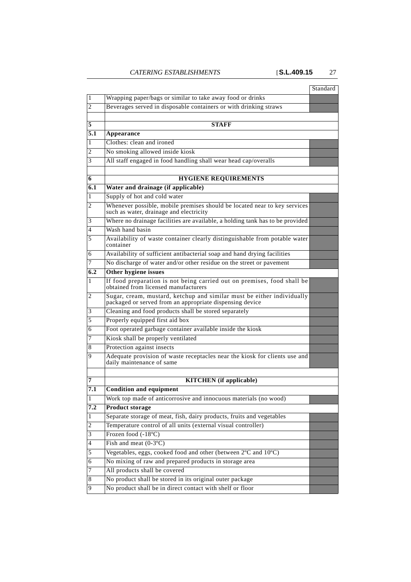|     |                                                                                                                                    | Standard |
|-----|------------------------------------------------------------------------------------------------------------------------------------|----------|
| 1   | Wrapping paper/bags or similar to take away food or drinks                                                                         |          |
| 2   | Beverages served in disposable containers or with drinking straws                                                                  |          |
|     |                                                                                                                                    |          |
| 5   | <b>STAFF</b>                                                                                                                       |          |
| 5.1 | Appearance                                                                                                                         |          |
| 1   | Clothes: clean and ironed                                                                                                          |          |
| 2   | No smoking allowed inside kiosk                                                                                                    |          |
| 3   | All staff engaged in food handling shall wear head cap/overalls                                                                    |          |
| 6   | <b>HYGIENE REQUIREMENTS</b>                                                                                                        |          |
| 6.1 | Water and drainage (if applicable)                                                                                                 |          |
| 1   | Supply of hot and cold water                                                                                                       |          |
| 2   | Whenever possible, mobile premises should be located near to key services<br>such as water, drainage and electricity               |          |
| 3   | Where no drainage facilities are available, a holding tank has to be provided                                                      |          |
| 4   | Wash hand basin                                                                                                                    |          |
| 5   | Availability of waste container clearly distinguishable from potable water<br>container                                            |          |
| 6   | Availability of sufficient antibacterial soap and hand drying facilities                                                           |          |
| 7   | No discharge of water and/or other residue on the street or pavement                                                               |          |
| 6.2 | Other hygiene issues                                                                                                               |          |
| 1   | If food preparation is not being carried out on premises, food shall be<br>obtained from licensed manufacturers                    |          |
| 2   | Sugar, cream, mustard, ketchup and similar must be either individually<br>packaged or served from an appropriate dispensing device |          |
| 3   | Cleaning and food products shall be stored separately                                                                              |          |
| 5   | Properly equipped first aid box                                                                                                    |          |
| 6   | Foot operated garbage container available inside the kiosk                                                                         |          |
| 7   | Kiosk shall be properly ventilated                                                                                                 |          |
| 8   | Protection against insects                                                                                                         |          |
| 9   | Adequate provision of waste receptacles near the kiosk for clients use and<br>daily maintenance of same                            |          |
|     |                                                                                                                                    |          |
| 7   | <b>KITCHEN</b> (if applicable)                                                                                                     |          |
| 7.1 | <b>Condition and equipment</b>                                                                                                     |          |
| 1   | Work top made of anticorrosive and innocuous materials (no wood)                                                                   |          |
| 7.2 | <b>Product storage</b>                                                                                                             |          |
| 1   | Separate storage of meat, fish, dairy products, fruits and vegetables                                                              |          |
| 2   | Temperature control of all units (external visual controller)                                                                      |          |
| 3   | Frozen food $(-18^{\circ}C)$                                                                                                       |          |
| 4   | Fish and meat $(0-3°C)$                                                                                                            |          |
| 5   | Vegetables, eggs, cooked food and other (between 2°C and 10°C)                                                                     |          |
| 6   | No mixing of raw and prepared products in storage area                                                                             |          |
| 7   | All products shall be covered                                                                                                      |          |
| 8   | No product shall be stored in its original outer package                                                                           |          |
| 9   | No product shall be in direct contact with shelf or floor                                                                          |          |